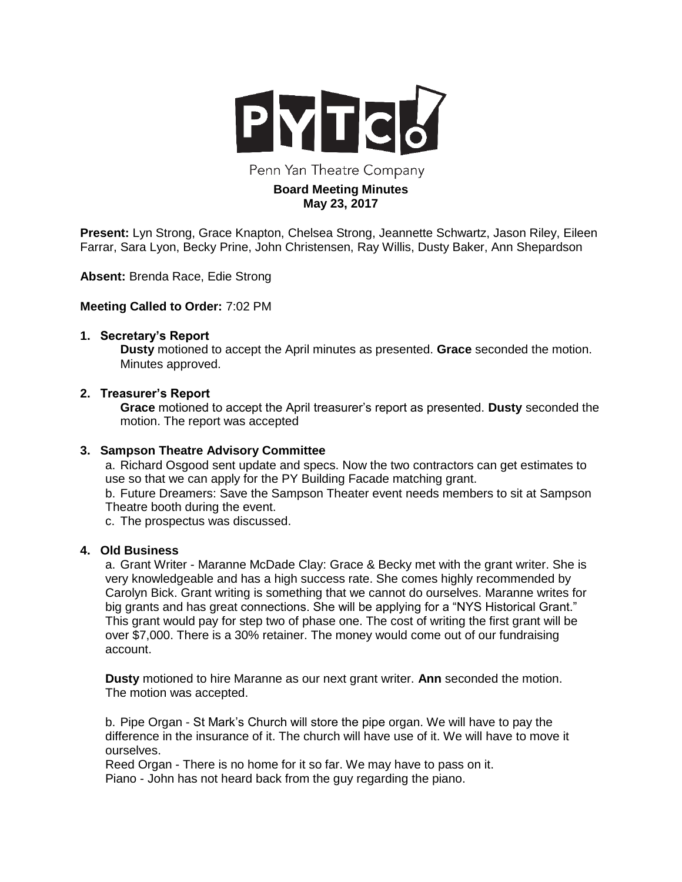

Penn Yan Theatre Company

# **Board Meeting Minutes May 23, 2017**

**Present:** Lyn Strong, Grace Knapton, Chelsea Strong, Jeannette Schwartz, Jason Riley, Eileen Farrar, Sara Lyon, Becky Prine, John Christensen, Ray Willis, Dusty Baker, Ann Shepardson

**Absent:** Brenda Race, Edie Strong

### **Meeting Called to Order:** 7:02 PM

#### **1. Secretary's Report**

**Dusty** motioned to accept the April minutes as presented. **Grace** seconded the motion. Minutes approved.

### **2. Treasurer's Report**

**Grace** motioned to accept the April treasurer's report as presented. **Dusty** seconded the motion. The report was accepted

#### **3. Sampson Theatre Advisory Committee**

a. Richard Osgood sent update and specs. Now the two contractors can get estimates to use so that we can apply for the PY Building Facade matching grant.

b. Future Dreamers: Save the Sampson Theater event needs members to sit at Sampson Theatre booth during the event.

c. The prospectus was discussed.

### **4. Old Business**

a. Grant Writer - Maranne McDade Clay: Grace & Becky met with the grant writer. She is very knowledgeable and has a high success rate. She comes highly recommended by Carolyn Bick. Grant writing is something that we cannot do ourselves. Maranne writes for big grants and has great connections. She will be applying for a "NYS Historical Grant." This grant would pay for step two of phase one. The cost of writing the first grant will be over \$7,000. There is a 30% retainer. The money would come out of our fundraising account.

**Dusty** motioned to hire Maranne as our next grant writer. **Ann** seconded the motion. The motion was accepted.

b. Pipe Organ - St Mark's Church will store the pipe organ. We will have to pay the difference in the insurance of it. The church will have use of it. We will have to move it ourselves.

Reed Organ - There is no home for it so far. We may have to pass on it. Piano - John has not heard back from the guy regarding the piano.